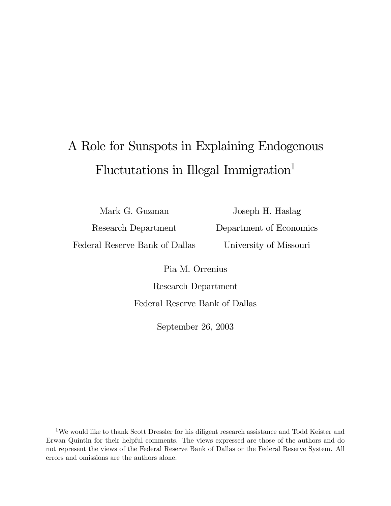# A Role for Sunspots in Explaining Endogenous Fluctutations in Illegal Immigration<sup>1</sup>

Mark G. Guzman

Joseph H. Haslag Department of Economics

Research Department Federal Reserve Bank of Dallas

University of Missouri

Pia M. Orrenius

Research Department

Federal Reserve Bank of Dallas

September 26, 2003

<sup>1</sup>We would like to thank Scott Dressler for his diligent research assistance and Todd Keister and Erwan Quintin for their helpful comments. The views expressed are those of the authors and do not represent the views of the Federal Reserve Bank of Dallas or the Federal Reserve System. All errors and omissions are the authors alone.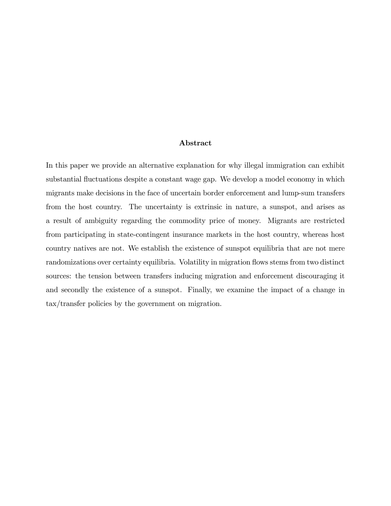#### Abstract

In this paper we provide an alternative explanation for why illegal immigration can exhibit substantial fluctuations despite a constant wage gap. We develop a model economy in which migrants make decisions in the face of uncertain border enforcement and lump-sum transfers from the host country. The uncertainty is extrinsic in nature, a sunspot, and arises as a result of ambiguity regarding the commodity price of money. Migrants are restricted from participating in state-contingent insurance markets in the host country, whereas host country natives are not. We establish the existence of sunspot equilibria that are not mere randomizations over certainty equilibria. Volatility in migration flows stems from two distinct sources: the tension between transfers inducing migration and enforcement discouraging it and secondly the existence of a sunspot. Finally, we examine the impact of a change in tax/transfer policies by the government on migration.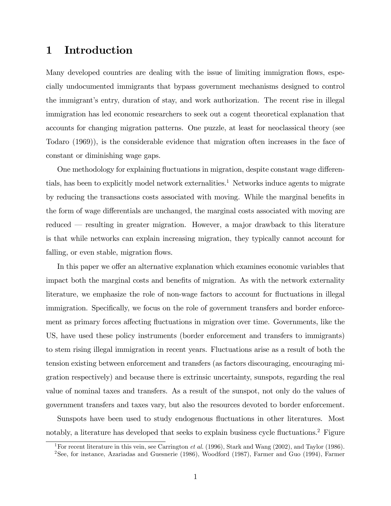# 1 Introduction

Many developed countries are dealing with the issue of limiting immigration flows, especially undocumented immigrants that bypass government mechanisms designed to control the immigrant's entry, duration of stay, and work authorization. The recent rise in illegal immigration has led economic researchers to seek out a cogent theoretical explanation that accounts for changing migration patterns. One puzzle, at least for neoclassical theory (see Todaro (1969)), is the considerable evidence that migration often increases in the face of constant or diminishing wage gaps.

One methodology for explaining fluctuations in migration, despite constant wage differentials, has been to explicitly model network externalities.<sup>1</sup> Networks induce agents to migrate by reducing the transactions costs associated with moving. While the marginal benefits in the form of wage differentials are unchanged, the marginal costs associated with moving are reduced  $-$  resulting in greater migration. However, a major drawback to this literature is that while networks can explain increasing migration, they typically cannot account for falling, or even stable, migration flows.

In this paper we offer an alternative explanation which examines economic variables that impact both the marginal costs and benefits of migration. As with the network externality literature, we emphasize the role of non-wage factors to account for fluctuations in illegal immigration. Specifically, we focus on the role of government transfers and border enforcement as primary forces affecting fluctuations in migration over time. Governments, like the US, have used these policy instruments (border enforcement and transfers to immigrants) to stem rising illegal immigration in recent years. Fluctuations arise as a result of both the tension existing between enforcement and transfers (as factors discouraging, encouraging migration respectively) and because there is extrinsic uncertainty, sunspots, regarding the real value of nominal taxes and transfers. As a result of the sunspot, not only do the values of government transfers and taxes vary, but also the resources devoted to border enforcement.

Sunspots have been used to study endogenous áuctuations in other literatures. Most notably, a literature has developed that seeks to explain business cycle fluctuations.<sup>2</sup> Figure

<sup>&</sup>lt;sup>1</sup>For recent literature in this vein, see Carrington *et al.* (1996), Stark and Wang (2002), and Taylor (1986). <sup>2</sup>See, for instance, Azariadas and Guesnerie (1986), Woodford (1987), Farmer and Guo (1994), Farmer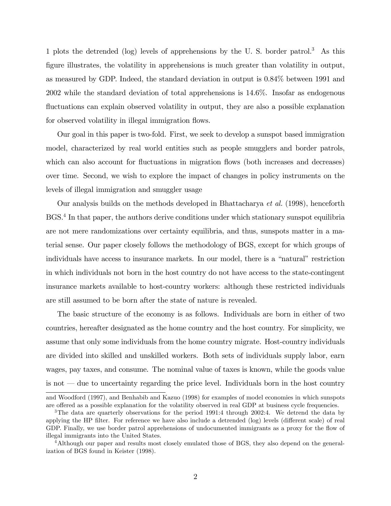1 plots the detrended (log) levels of apprehensions by the U.S. border patrol.<sup>3</sup> As this figure illustrates, the volatility in apprehensions is much greater than volatility in output, as measured by GDP. Indeed, the standard deviation in output is 0.84% between 1991 and 2002 while the standard deviation of total apprehensions is 14.6%. Insofar as endogenous fluctuations can explain observed volatility in output, they are also a possible explanation for observed volatility in illegal immigration flows.

Our goal in this paper is two-fold. First, we seek to develop a sunspot based immigration model, characterized by real world entities such as people smugglers and border patrols, which can also account for fluctuations in migration flows (both increases and decreases) over time. Second, we wish to explore the impact of changes in policy instruments on the levels of illegal immigration and smuggler usage

Our analysis builds on the methods developed in Bhattacharya *et al.* (1998), henceforth BGS.<sup>4</sup> In that paper, the authors derive conditions under which stationary sunspot equilibria are not mere randomizations over certainty equilibria, and thus, sunspots matter in a material sense. Our paper closely follows the methodology of BGS, except for which groups of individuals have access to insurance markets. In our model, there is a "natural" restriction in which individuals not born in the host country do not have access to the state-contingent insurance markets available to host-country workers: although these restricted individuals are still assumed to be born after the state of nature is revealed.

The basic structure of the economy is as follows. Individuals are born in either of two countries, hereafter designated as the home country and the host country. For simplicity, we assume that only some individuals from the home country migrate. Host-country individuals are divided into skilled and unskilled workers. Both sets of individuals supply labor, earn wages, pay taxes, and consume. The nominal value of taxes is known, while the goods value is not  $\overline{a}$  due to uncertainty regarding the price level. Individuals born in the host country

and Woodford (1997), and Benhabib and Kazuo (1998) for examples of model economies in which sunspots are offered as a possible explanation for the volatility observed in real GDP at business cycle frequencies.

<sup>&</sup>lt;sup>3</sup>The data are quarterly observations for the period 1991:4 through 2002:4. We detrend the data by applying the HP filter. For reference we have also include a detrended (log) levels (different scale) of real GDP. Finally, we use border patrol apprehensions of undocumented immigrants as a proxy for the flow of illegal immigrants into the United States.

<sup>4</sup>Although our paper and results most closely emulated those of BGS, they also depend on the generalization of BGS found in Keister (1998).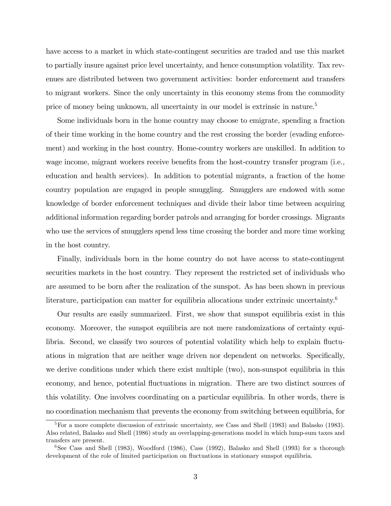have access to a market in which state-contingent securities are traded and use this market to partially insure against price level uncertainty, and hence consumption volatility. Tax revenues are distributed between two government activities: border enforcement and transfers to migrant workers. Since the only uncertainty in this economy stems from the commodity price of money being unknown, all uncertainty in our model is extrinsic in nature.<sup>5</sup>

Some individuals born in the home country may choose to emigrate, spending a fraction of their time working in the home country and the rest crossing the border (evading enforcement) and working in the host country. Home-country workers are unskilled. In addition to wage income, migrant workers receive benefits from the host-country transfer program (i.e., education and health services). In addition to potential migrants, a fraction of the home country population are engaged in people smuggling. Smugglers are endowed with some knowledge of border enforcement techniques and divide their labor time between acquiring additional information regarding border patrols and arranging for border crossings. Migrants who use the services of smugglers spend less time crossing the border and more time working in the host country.

Finally, individuals born in the home country do not have access to state-contingent securities markets in the host country. They represent the restricted set of individuals who are assumed to be born after the realization of the sunspot. As has been shown in previous literature, participation can matter for equilibria allocations under extrinsic uncertainty.<sup>6</sup>

Our results are easily summarized. First, we show that sunspot equilibria exist in this economy. Moreover, the sunspot equilibria are not mere randomizations of certainty equilibria. Second, we classify two sources of potential volatility which help to explain áuctuations in migration that are neither wage driven nor dependent on networks. Specifically, we derive conditions under which there exist multiple (two), non-sunspot equilibria in this economy, and hence, potential áuctuations in migration. There are two distinct sources of this volatility. One involves coordinating on a particular equilibria. In other words, there is no coordination mechanism that prevents the economy from switching between equilibria, for

<sup>5</sup>For a more complete discussion of extrinsic uncertainty, see Cass and Shell (1983) and Balasko (1983). Also related, Balasko and Shell (1986) study an overlapping-generations model in which lump-sum taxes and transfers are present.

 $6$ See Cass and Shell (1983), Woodford (1986), Cass (1992), Balasko and Shell (1993) for a thorough development of the role of limited participation on fluctuations in stationary sunspot equilibria.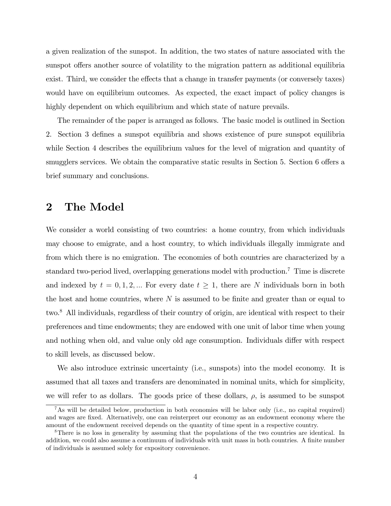a given realization of the sunspot. In addition, the two states of nature associated with the sunspot offers another source of volatility to the migration pattern as additional equilibria exist. Third, we consider the effects that a change in transfer payments (or conversely taxes) would have on equilibrium outcomes. As expected, the exact impact of policy changes is highly dependent on which equilibrium and which state of nature prevails.

The remainder of the paper is arranged as follows. The basic model is outlined in Section 2. Section 3 defines a sunspot equilibria and shows existence of pure sunspot equilibria while Section 4 describes the equilibrium values for the level of migration and quantity of smugglers services. We obtain the comparative static results in Section 5. Section 6 offers a brief summary and conclusions.

### 2 The Model

We consider a world consisting of two countries: a home country, from which individuals may choose to emigrate, and a host country, to which individuals illegally immigrate and from which there is no emigration. The economies of both countries are characterized by a standard two-period lived, overlapping generations model with production.<sup>7</sup> Time is discrete and indexed by  $t = 0, 1, 2, ...$  For every date  $t \geq 1$ , there are N individuals born in both the host and home countries, where  $N$  is assumed to be finite and greater than or equal to two.<sup>8</sup> All individuals, regardless of their country of origin, are identical with respect to their preferences and time endowments; they are endowed with one unit of labor time when young and nothing when old, and value only old age consumption. Individuals differ with respect to skill levels, as discussed below.

We also introduce extrinsic uncertainty (i.e., sunspots) into the model economy. It is assumed that all taxes and transfers are denominated in nominal units, which for simplicity, we will refer to as dollars. The goods price of these dollars,  $\rho$ , is assumed to be sunspot

<sup>7</sup>As will be detailed below, production in both economies will be labor only (i.e., no capital required) and wages are fixed. Alternatively, one can reinterpret our economy as an endowment economy where the amount of the endowment received depends on the quantity of time spent in a respective country.

<sup>8</sup>There is no loss in generality by assuming that the populations of the two countries are identical. In addition, we could also assume a continuum of individuals with unit mass in both countries. A finite number of individuals is assumed solely for expository convenience.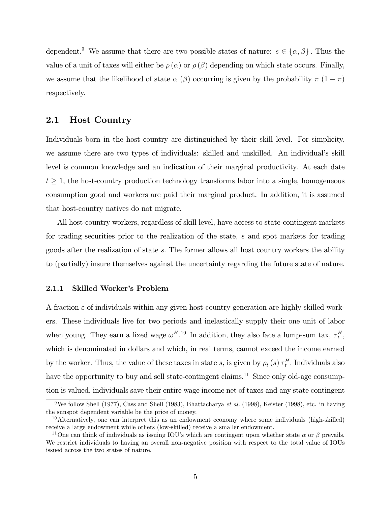dependent.<sup>9</sup> We assume that there are two possible states of nature:  $s \in {\alpha, \beta}$ . Thus the value of a unit of taxes will either be  $\rho(\alpha)$  or  $\rho(\beta)$  depending on which state occurs. Finally, we assume that the likelihood of state  $\alpha$  ( $\beta$ ) occurring is given by the probability  $\pi$   $(1 - \pi)$ respectively.

### 2.1 Host Country

Individuals born in the host country are distinguished by their skill level. For simplicity, we assume there are two types of individuals: skilled and unskilled. An individual's skill level is common knowledge and an indication of their marginal productivity. At each date  $t \geq 1$ , the host-country production technology transforms labor into a single, homogeneous consumption good and workers are paid their marginal product. In addition, it is assumed that host-country natives do not migrate.

All host-country workers, regardless of skill level, have access to state-contingent markets for trading securities prior to the realization of the state, s and spot markets for trading goods after the realization of state s: The former allows all host country workers the ability to (partially) insure themselves against the uncertainty regarding the future state of nature.

#### 2.1.1 Skilled Worker's Problem

A fraction  $\varepsilon$  of individuals within any given host-country generation are highly skilled workers. These individuals live for two periods and inelastically supply their one unit of labor when young. They earn a fixed wage  $\omega^{H.10}$  In addition, they also face a lump-sum tax,  $\tau_t^H$ , which is denominated in dollars and which, in real terms, cannot exceed the income earned by the worker. Thus, the value of these taxes in state s, is given by  $\rho_t(s) \tau_t^H$ . Individuals also have the opportunity to buy and sell state-contingent claims.<sup>11</sup> Since only old-age consumption is valued, individuals save their entire wage income net of taxes and any state contingent

<sup>&</sup>lt;sup>9</sup>We follow Shell (1977), Cass and Shell (1983), Bhattacharya et al. (1998), Keister (1998), etc. in having the sunspot dependent variable be the price of money.

 $10$ Alternatively, one can interpret this as an endowment economy where some individuals (high-skilled) receive a large endowment while others (low-skilled) receive a smaller endowment.

<sup>&</sup>lt;sup>11</sup>One can think of individuals as issuing IOU's which are contingent upon whether state  $\alpha$  or  $\beta$  prevails. We restrict individuals to having an overall non-negative position with respect to the total value of IOUs issued across the two states of nature.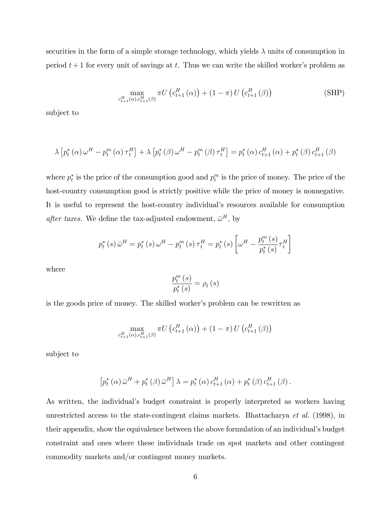securities in the form of a simple storage technology, which yields  $\lambda$  units of consumption in period  $t+1$  for every unit of savings at t. Thus we can write the skilled worker's problem as

$$
\max_{c_{t+1}^H(\alpha), c_{t+1}^H(\beta)} \pi U\left(c_{t+1}^H(\alpha)\right) + (1-\pi) U\left(c_{t+1}^H(\beta)\right)
$$
 (SHP)

subject to

$$
\lambda \left[ p_t^* \left( \alpha \right) \omega^H - p_t^m \left( \alpha \right) \tau_t^H \right] + \lambda \left[ p_t^* \left( \beta \right) \omega^H - p_t^m \left( \beta \right) \tau_t^H \right] = p_t^* \left( \alpha \right) c_{t+1}^H \left( \alpha \right) + p_t^* \left( \beta \right) c_{t+1}^H \left( \beta \right)
$$

where  $p_t^*$  is the price of the consumption good and  $p_t^m$  is the price of money. The price of the host-country consumption good is strictly positive while the price of money is nonnegative. It is useful to represent the host-country individual's resources available for consumption after taxes. We define the tax-adjusted endowment,  $\bar{\omega}^H$ , by

$$
p_{t}^{*}(s) \bar{\omega}^{H} = p_{t}^{*}(s) \omega^{H} - p_{t}^{m}(s) \tau_{t}^{H} = p_{t}^{*}(s) \left[ \omega^{H} - \frac{p_{t}^{m}(s)}{p_{t}^{*}(s)} \tau_{t}^{H} \right]
$$

where

$$
\frac{p_t^m(s)}{p_t^*(s)} = \rho_t(s)
$$

is the goods price of money. The skilled worker's problem can be rewritten as

$$
\max_{c_{t+1}^H(\alpha), c_{t+1}^H(\beta)} \pi U\left(c_{t+1}^H(\alpha)\right) + (1-\pi) U\left(c_{t+1}^H(\beta)\right)
$$

subject to

$$
\left[p_t^*\left(\alpha\right)\bar{\omega}^H + p_t^*\left(\beta\right)\bar{\omega}^H\right]\lambda = p_t^*\left(\alpha\right)c_{t+1}^H\left(\alpha\right) + p_t^*\left(\beta\right)c_{t+1}^H\left(\beta\right).
$$

As written, the individual's budget constraint is properly interpreted as workers having unrestricted access to the state-contingent claims markets. Bhattacharya et al. (1998), in their appendix, show the equivalence between the above formulation of an individual's budget constraint and ones where these individuals trade on spot markets and other contingent commodity markets and/or contingent money markets.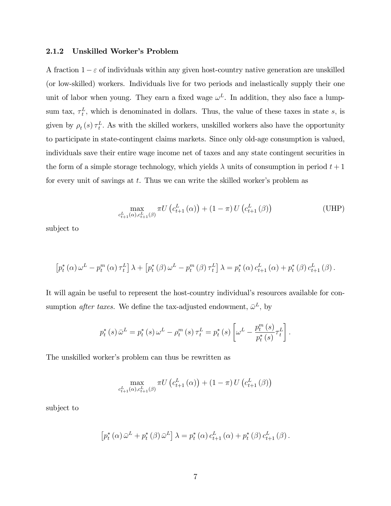#### 2.1.2 Unskilled Worker's Problem

A fraction  $1 - \varepsilon$  of individuals within any given host-country native generation are unskilled (or low-skilled) workers. Individuals live for two periods and inelastically supply their one unit of labor when young. They earn a fixed wage  $\omega^L$ . In addition, they also face a lumpsum tax,  $\tau_t^L$ , which is denominated in dollars. Thus, the value of these taxes in state s, is given by  $\rho_t(s) \tau_t^L$ . As with the skilled workers, unskilled workers also have the opportunity to participate in state-contingent claims markets. Since only old-age consumption is valued, individuals save their entire wage income net of taxes and any state contingent securities in the form of a simple storage technology, which yields  $\lambda$  units of consumption in period  $t + 1$ for every unit of savings at  $t$ . Thus we can write the skilled worker's problem as

$$
\max_{c_{t+1}^L(\alpha), c_{t+1}^L(\beta)} \pi U \left( c_{t+1}^L(\alpha) \right) + (1 - \pi) U \left( c_{t+1}^L(\beta) \right)
$$
 (UHP)

subject to

$$
\left[p_t^*(\alpha)\,\omega^L - p_t^m(\alpha)\,\tau_t^L\right]\lambda + \left[p_t^*(\beta)\,\omega^L - p_t^m(\beta)\,\tau_t^L\right]\lambda = p_t^*(\alpha)\,c_{t+1}^L(\alpha) + p_t^*(\beta)\,c_{t+1}^L(\beta).
$$

It will again be useful to represent the host-country individual's resources available for consumption *after taxes*. We define the tax-adjusted endowment,  $\bar{\omega}^L$ , by

$$
p_t^*(s)\bar{\omega}^L = p_t^*(s)\omega^L - \rho_t^m(s)\tau_t^L = p_t^*(s)\left[\omega^L - \frac{p_t^m(s)}{p_t^*(s)}\tau_t^L\right].
$$

The unskilled worker's problem can thus be rewritten as

$$
\max_{c_{t+1}^{L}(\alpha), c_{t+1}^{L}(\beta)} \pi U\left(c_{t+1}^{L}\left(\alpha\right)\right)+\left(1-\pi\right)U\left(c_{t+1}^{L}\left(\beta\right)\right)
$$

subject to

$$
\left[p_t^*\left(\alpha\right)\bar{\omega}^L + p_t^*\left(\beta\right)\bar{\omega}^L\right]\lambda = p_t^*\left(\alpha\right)c_{t+1}^L\left(\alpha\right) + p_t^*\left(\beta\right)c_{t+1}^L\left(\beta\right).
$$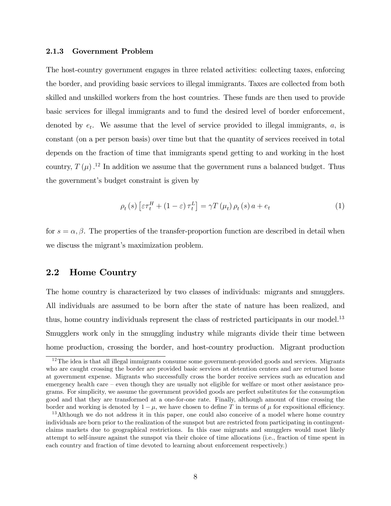#### 2.1.3 Government Problem

The host-country government engages in three related activities: collecting taxes, enforcing the border, and providing basic services to illegal immigrants. Taxes are collected from both skilled and unskilled workers from the host countries. These funds are then used to provide basic services for illegal immigrants and to fund the desired level of border enforcement, denoted by  $e_t$ . We assume that the level of service provided to illegal immigrants,  $a$ , is constant (on a per person basis) over time but that the quantity of services received in total depends on the fraction of time that immigrants spend getting to and working in the host country,  $T(\mu)$ .<sup>12</sup> In addition we assume that the government runs a balanced budget. Thus the government's budget constraint is given by

$$
\rho_t(s) \left[ \varepsilon \tau_t^H + (1 - \varepsilon) \tau_t^L \right] = \gamma T(\mu_t) \rho_t(s) a + e_t \tag{1}
$$

for  $s = \alpha, \beta$ . The properties of the transfer-proportion function are described in detail when we discuss the migrant's maximization problem.

### 2.2 Home Country

The home country is characterized by two classes of individuals: migrants and smugglers. All individuals are assumed to be born after the state of nature has been realized, and thus, home country individuals represent the class of restricted participants in our model.<sup>13</sup> Smugglers work only in the smuggling industry while migrants divide their time between home production, crossing the border, and host-country production. Migrant production

<sup>&</sup>lt;sup>12</sup>The idea is that all illegal immigrants consume some government-provided goods and services. Migrants who are caught crossing the border are provided basic services at detention centers and are returned home at government expense. Migrants who successfully cross the border receive services such as education and emergency health care  $\sim$  even though they are usually not eligible for welfare or most other assistance programs. For simplicity, we assume the government provided goods are perfect substitutes for the consumption good and that they are transformed at a one-for-one rate. Finally, although amount of time crossing the border and working is denoted by  $1 - \mu$ , we have chosen to define T in terms of  $\mu$  for expositional efficiency.

<sup>&</sup>lt;sup>13</sup>Although we do not address it in this paper, one could also conceive of a model where home country individuals are born prior to the realization of the sunspot but are restricted from participating in contingentclaims markets due to geographical restrictions. In this case migrants and smugglers would most likely attempt to self-insure against the sunspot via their choice of time allocations (i.e., fraction of time spent in each country and fraction of time devoted to learning about enforcement respectively.)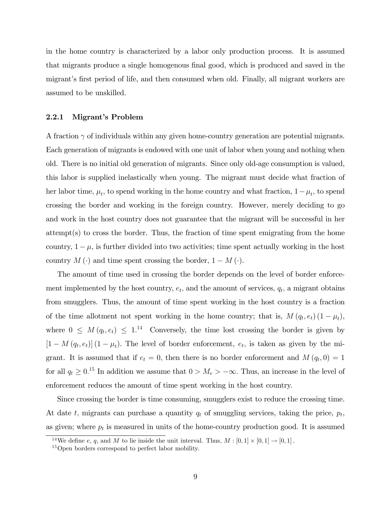in the home country is characterized by a labor only production process. It is assumed that migrants produce a single homogenous final good, which is produced and saved in the migrant's first period of life, and then consumed when old. Finally, all migrant workers are assumed to be unskilled.

### 2.2.1 Migrant's Problem

A fraction  $\gamma$  of individuals within any given home-country generation are potential migrants. Each generation of migrants is endowed with one unit of labor when young and nothing when old. There is no initial old generation of migrants. Since only old-age consumption is valued, this labor is supplied inelastically when young. The migrant must decide what fraction of her labor time,  $\mu_t$ , to spend working in the home country and what fraction,  $1 - \mu_t$ , to spend crossing the border and working in the foreign country. However, merely deciding to go and work in the host country does not guarantee that the migrant will be successful in her attempt(s) to cross the border. Thus, the fraction of time spent emigrating from the home country,  $1 - \mu$ , is further divided into two activities; time spent actually working in the host country  $M(\cdot)$  and time spent crossing the border,  $1 - M(\cdot)$ .

The amount of time used in crossing the border depends on the level of border enforcement implemented by the host country,  $e_t$ , and the amount of services,  $q_t$ , a migrant obtains from smugglers. Thus, the amount of time spent working in the host country is a fraction of the time allotment not spent working in the home country; that is,  $M(q_t, e_t) (1 - \mu_t)$ , where  $0 \leq M(q_t, e_t) \leq 1^{14}$  Conversely, the time lost crossing the border is given by  $[1-M(q_t, e_t)] (1-\mu_t)$ . The level of border enforcement,  $e_t$ , is taken as given by the migrant. It is assumed that if  $e_t = 0$ , then there is no border enforcement and  $M(q_t, 0) = 1$ for all  $q_t \ge 0$ <sup>15</sup> In addition we assume that  $0 > M_e > -\infty$ . Thus, an increase in the level of enforcement reduces the amount of time spent working in the host country.

Since crossing the border is time consuming, smugglers exist to reduce the crossing time. At date t, migrants can purchase a quantity  $q_t$  of smuggling services, taking the price,  $p_t$ , as given; where  $p_t$  is measured in units of the home-country production good. It is assumed

<sup>&</sup>lt;sup>14</sup>We define e, q, and M to lie inside the unit interval. Thus,  $M : [0,1] \times [0,1] \rightarrow [0,1]$ .

<sup>15</sup>Open borders correspond to perfect labor mobility.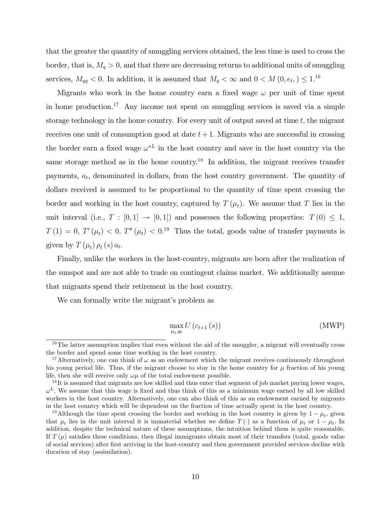that the greater the quantity of smuggling services obtained, the less time is used to cross the border, that is,  $M_q > 0$ , and that there are decreasing returns to additional units of smuggling services,  $M_{qq} < 0$ . In addition, it is assumed that  $M_q < \infty$  and  $0 < M(0, e_t) \leq 1.16$ 

Migrants who work in the home country earn a fixed wage  $\omega$  per unit of time spent in home production.<sup>17</sup> Any income not spent on smuggling services is saved via a simple storage technology in the home country. For every unit of output saved at time  $t$ , the migrant receives one unit of consumption good at date  $t + 1$ . Migrants who are successful in crossing the border earn a fixed wage  $\omega^*$  in the host country and save in the host country via the same storage method as in the home country.<sup>18</sup> In addition, the migrant receives transfer payments,  $a_t$ , denominated in dollars, from the host country government. The quantity of dollars received is assumed to be proportional to the quantity of time spent crossing the border and working in the host country, captured by  $T(\mu_t)$ . We assume that T lies in the unit interval (i.e.,  $T : [0,1] \rightarrow [0,1]$ ) and possesses the following properties:  $T(0) \leq 1$ ,  $T(1) = 0, T'(\mu_t) < 0, T''(\mu_t) < 0.19$  Thus the total, goods value of transfer payments is given by  $T(\mu_t) \rho_t(s) a_t$ .

Finally, unlike the workers in the host-country, migrants are born after the realization of the sunspot and are not able to trade on contingent claims market. We additionally assume that migrants spend their retirement in the host country.

We can formally write the migrant's problem as

$$
\max_{\mu_t, q_t} U\left(c_{t+1}\left(s\right)\right) \tag{MWP}
$$

 $16$ The latter assumption implies that even without the aid of the smuggler, a migrant will eventually cross the border and spend some time working in the host country.

<sup>&</sup>lt;sup>17</sup>Alternatively, one can think of  $\omega$  as an endowment which the migrant receives continuously throughout his young period life. Thus, if the migrant choose to stay in the home country for  $\mu$  fraction of his young life, then she will receive only  $\omega\mu$  of the total endowment possible.

 $18$ It is assumed that migrants are low skilled and thus enter that segment of job market paying lower wages,  $\omega^L$ . We assume that this wage is fixed and thus think of this as a minimum wage earned by all low skilled workers in the host country. Alternatively, one can also think of this as an endowment earned by migrants in the host country which will be dependent on the fraction of time actually spent in the host country.

<sup>&</sup>lt;sup>19</sup>Although the time spent crossing the border and working in the host country is given by  $1 - \mu_t$ , given that  $\mu_t$  lies in the unit interval it is immaterial whether we define  $T(\cdot)$  as a function of  $\mu_t$  or  $1 - \mu_t$ . In addition, despite the technical nature of these assumptions, the intuition behind them is quite reasonable. If  $T(\mu)$  satisfies these conditions, then illegal immigrants obtain most of their transfers (total, goods value of social services) after Örst arriving in the host-country and then government provided services decline with duration of stay (assimilation).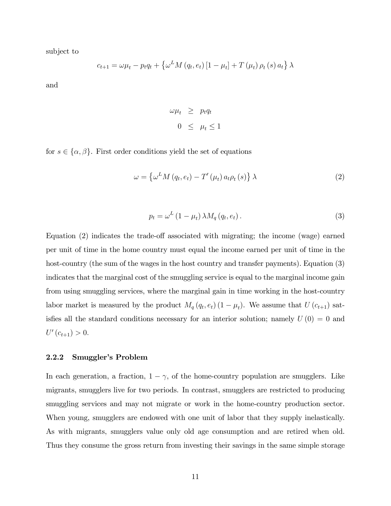subject to

$$
c_{t+1} = \omega\mu_t - p_t q_t + \left\{ \omega^L M \left( q_t, e_t \right) \left[ 1 - \mu_t \right] + T \left( \mu_t \right) \rho_t \left( s \right) a_t \right\} \lambda
$$

and

$$
\omega \mu_t \geq p_t q_t
$$
  

$$
0 \leq \mu_t \leq 1
$$

for  $s \in {\alpha, \beta}$ . First order conditions yield the set of equations

$$
\omega = \left\{ \omega^L M \left( q_t, e_t \right) - T' \left( \mu_t \right) a_t \rho_t \left( s \right) \right\} \lambda \tag{2}
$$

$$
p_t = \omega^L \left(1 - \mu_t\right) \lambda M_q\left(q_t, e_t\right). \tag{3}
$$

Equation (2) indicates the trade-off associated with migrating; the income (wage) earned per unit of time in the home country must equal the income earned per unit of time in the host-country (the sum of the wages in the host country and transfer payments). Equation (3) indicates that the marginal cost of the smuggling service is equal to the marginal income gain from using smuggling services, where the marginal gain in time working in the host-country labor market is measured by the product  $M_q(q_t, e_t) (1 - \mu_t)$ . We assume that  $U(c_{t+1})$  satisfies all the standard conditions necessary for an interior solution; namely  $U(0) = 0$  and  $U'(c_{t+1}) > 0.$ 

#### 2.2.2 Smuggler's Problem

In each generation, a fraction,  $1 - \gamma$ , of the home-country population are smugglers. Like migrants, smugglers live for two periods. In contrast, smugglers are restricted to producing smuggling services and may not migrate or work in the home-country production sector. When young, smugglers are endowed with one unit of labor that they supply inelastically. As with migrants, smugglers value only old age consumption and are retired when old. Thus they consume the gross return from investing their savings in the same simple storage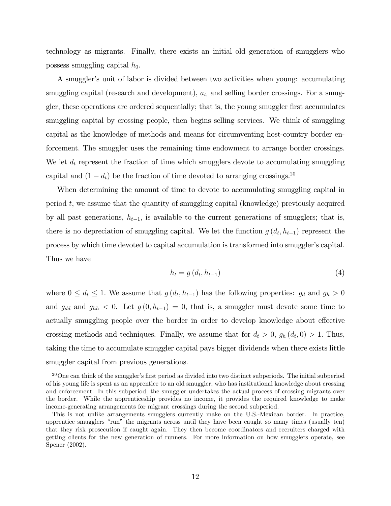technology as migrants. Finally, there exists an initial old generation of smugglers who possess smuggling capital  $h_0$ .

A smuggler's unit of labor is divided between two activities when young: accumulating smuggling capital (research and development),  $a_t$  and selling border crossings. For a smuggler, these operations are ordered sequentially; that is, the young smuggler first accumulates smuggling capital by crossing people, then begins selling services. We think of smuggling capital as the knowledge of methods and means for circumventing host-country border enforcement. The smuggler uses the remaining time endowment to arrange border crossings. We let  $d_t$  represent the fraction of time which smugglers devote to accumulating smuggling capital and  $(1 - d_t)$  be the fraction of time devoted to arranging crossings.<sup>20</sup>

When determining the amount of time to devote to accumulating smuggling capital in period t, we assume that the quantity of smuggling capital (knowledge) previously acquired by all past generations,  $h_{t-1}$ , is available to the current generations of smugglers; that is, there is no depreciation of smuggling capital. We let the function  $g(d_t, h_{t-1})$  represent the process by which time devoted to capital accumulation is transformed into smuggler's capital. Thus we have

$$
h_t = g(d_t, h_{t-1})
$$
\n<sup>(4)</sup>

where  $0 \le d_t \le 1$ . We assume that  $g(d_t, h_{t-1})$  has the following properties:  $g_d$  and  $g_h > 0$ and  $g_{dd}$  and  $g_{hh} < 0$ . Let  $g(0, h_{t-1}) = 0$ , that is, a smuggler must devote some time to actually smuggling people over the border in order to develop knowledge about effective crossing methods and techniques. Finally, we assume that for  $d_t > 0$ ,  $g_h(d_t, 0) > 1$ . Thus, taking the time to accumulate smuggler capital pays bigger dividends when there exists little smuggler capital from previous generations.

 $20$ One can think of the smuggler's first period as divided into two distinct subperiods. The initial subperiod of his young life is spent as an apprentice to an old smuggler, who has institutional knowledge about crossing and enforcement. In this subperiod, the smuggler undertakes the actual process of crossing migrants over the border. While the apprenticeship provides no income, it provides the required knowledge to make income-generating arrangements for migrant crossings during the second subperiod.

This is not unlike arrangements smugglers currently make on the U.S.-Mexican border. In practice, apprentice smugglers "run" the migrants across until they have been caught so many times (usually ten) that they risk prosecution if caught again. They then become coordinators and recruiters charged with getting clients for the new generation of runners. For more information on how smugglers operate, see Spener (2002).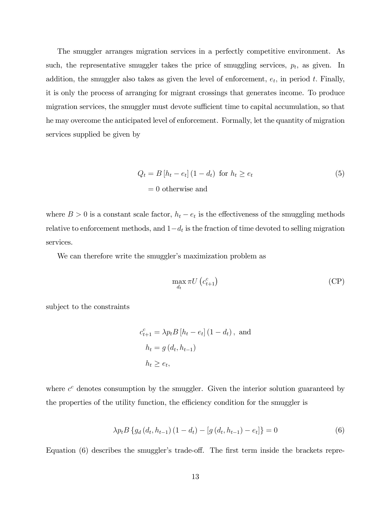The smuggler arranges migration services in a perfectly competitive environment. As such, the representative smuggler takes the price of smuggling services,  $p_t$ , as given. In addition, the smuggler also takes as given the level of enforcement,  $e_t$ , in period t. Finally, it is only the process of arranging for migrant crossings that generates income. To produce migration services, the smuggler must devote sufficient time to capital accumulation, so that he may overcome the anticipated level of enforcement. Formally, let the quantity of migration services supplied be given by

$$
Q_t = B[h_t - e_t] (1 - d_t) \text{ for } h_t \ge e_t
$$
\n
$$
= 0 \text{ otherwise and}
$$
\n(5)

where  $B > 0$  is a constant scale factor,  $h_t - e_t$  is the effectiveness of the smuggling methods relative to enforcement methods, and  $1-d_t$  is the fraction of time devoted to selling migration services.

We can therefore write the smuggler's maximization problem as

$$
\max_{d_t} \pi U \left( c_{t+1}^c \right) \tag{CP}
$$

subject to the constraints

$$
c_{t+1}^{c} = \lambda p_t B [h_t - e_t] (1 - d_t),
$$
 and  

$$
h_t = g (d_t, h_{t-1})
$$
  

$$
h_t \ge e_t,
$$

where  $c<sup>c</sup>$  denotes consumption by the smuggler. Given the interior solution guaranteed by the properties of the utility function, the efficiency condition for the smuggler is

$$
\lambda p_t B \left\{ g_d \left( d_t, h_{t-1} \right) \left( 1 - d_t \right) - \left[ g \left( d_t, h_{t-1} \right) - e_t \right] \right\} = 0 \tag{6}
$$

Equation  $(6)$  describes the smuggler's trade-off. The first term inside the brackets repre-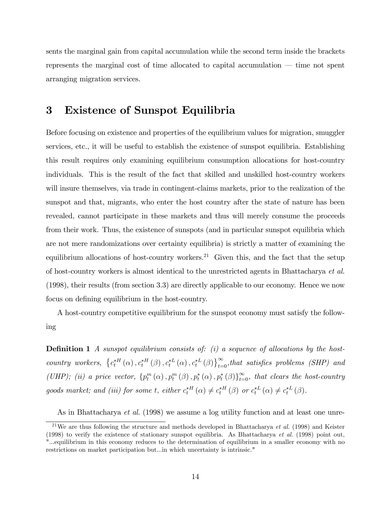sents the marginal gain from capital accumulation while the second term inside the brackets represents the marginal cost of time allocated to capital accumulation  $\overline{\phantom{a}}$  time not spent arranging migration services.

# 3 Existence of Sunspot Equilibria

Before focusing on existence and properties of the equilibrium values for migration, smuggler services, etc., it will be useful to establish the existence of sunspot equilibria. Establishing this result requires only examining equilibrium consumption allocations for host-country individuals. This is the result of the fact that skilled and unskilled host-country workers will insure themselves, via trade in contingent-claims markets, prior to the realization of the sunspot and that, migrants, who enter the host country after the state of nature has been revealed, cannot participate in these markets and thus will merely consume the proceeds from their work. Thus, the existence of sunspots (and in particular sunspot equilibria which are not mere randomizations over certainty equilibria) is strictly a matter of examining the equilibrium allocations of host-country workers.<sup>21</sup> Given this, and the fact that the setup of host-country workers is almost identical to the unrestricted agents in Bhattacharya et al. (1998), their results (from section 3.3) are directly applicable to our economy. Hence we now focus on defining equilibrium in the host-country.

A host-country competitive equilibrium for the sunspot economy must satisfy the following

**Definition 1** A sunspot equilibrium consists of: (i) a sequence of allocations by the hostcountry workers,  $\{c_t^{*H}(\alpha), c_t^{*H}(\beta), c_t^{*L}(\alpha), c_t^{*L}(\beta)\}_{t=0}^{\infty}$ , that satisfies problems (SHP) and (UHP); (ii) a price vector,  $\{p_t^m(\alpha), p_t^m(\beta), p_t^*(\alpha), p_t^*(\beta)\}_{t=0}^{\infty}$ , that clears the host-country goods market; and (iii) for some t, either  $c_t^{*H}(\alpha) \neq c_t^{*H}(\beta)$  or  $c_t^{*L}(\alpha) \neq c_t^{*L}(\beta)$ .

As in Bhattacharya et al. (1998) we assume a log utility function and at least one unre-

<sup>&</sup>lt;sup>21</sup>We are thus following the structure and methods developed in Bhattacharya *et al.* (1998) and Keister (1998) to verify the existence of stationary sunspot equilibria. As Bhattacharya et al. (1998) point out, "...equilibrium in this economy reduces to the determination of equilibrium in a smaller economy with no restrictions on market participation but...in which uncertainty is intrinsic."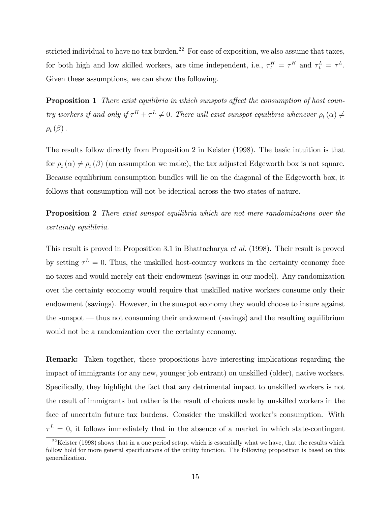stricted individual to have no tax burden.<sup>22</sup> For ease of exposition, we also assume that taxes, for both high and low skilled workers, are time independent, i.e.,  $\tau_t^H = \tau^H$  and  $\tau_t^L = \tau^L$ . Given these assumptions, we can show the following.

**Proposition 1** There exist equilibria in which sunspots affect the consumption of host country workers if and only if  $\tau^H + \tau^L \neq 0$ . There will exist sunspot equilibria whenever  $\rho_t(\alpha) \neq 0$  $\rho_{t}\left(\beta\right)$  .

The results follow directly from Proposition 2 in Keister (1998). The basic intuition is that for  $\rho_t(\alpha) \neq \rho_t(\beta)$  (an assumption we make), the tax adjusted Edgeworth box is not square. Because equilibrium consumption bundles will lie on the diagonal of the Edgeworth box, it follows that consumption will not be identical across the two states of nature.

**Proposition 2** There exist sunspot equilibria which are not mere randomizations over the certainty equilibria.

This result is proved in Proposition 3.1 in Bhattacharya et al. (1998). Their result is proved by setting  $\tau^L = 0$ . Thus, the unskilled host-country workers in the certainty economy face no taxes and would merely eat their endowment (savings in our model). Any randomization over the certainty economy would require that unskilled native workers consume only their endowment (savings). However, in the sunspot economy they would choose to insure against the sunspot  $-$  thus not consuming their endowment (savings) and the resulting equilibrium would not be a randomization over the certainty economy.

Remark: Taken together, these propositions have interesting implications regarding the impact of immigrants (or any new, younger job entrant) on unskilled (older), native workers. Specifically, they highlight the fact that any detrimental impact to unskilled workers is not the result of immigrants but rather is the result of choices made by unskilled workers in the face of uncertain future tax burdens. Consider the unskilled worker's consumption. With  $\tau^L = 0$ , it follows immediately that in the absence of a market in which state-contingent

 $22$ Keister (1998) shows that in a one period setup, which is essentially what we have, that the results which follow hold for more general specifications of the utility function. The following proposition is based on this generalization.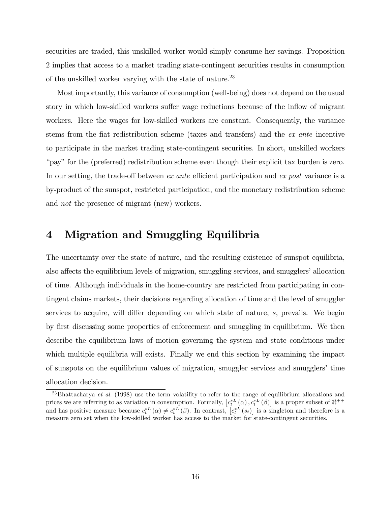securities are traded, this unskilled worker would simply consume her savings. Proposition 2 implies that access to a market trading state-contingent securities results in consumption of the unskilled worker varying with the state of nature.<sup>23</sup>

Most importantly, this variance of consumption (well-being) does not depend on the usual story in which low-skilled workers suffer wage reductions because of the inflow of migrant workers. Here the wages for low-skilled workers are constant. Consequently, the variance stems from the fiat redistribution scheme (taxes and transfers) and the ex ante incentive to participate in the market trading state-contingent securities. In short, unskilled workers ìpayîfor the (preferred) redistribution scheme even though their explicit tax burden is zero. In our setting, the trade-off between  $ex$  ante efficient participation and  $ex$  post variance is a by-product of the sunspot, restricted participation, and the monetary redistribution scheme and not the presence of migrant (new) workers.

# 4 Migration and Smuggling Equilibria

The uncertainty over the state of nature, and the resulting existence of sunspot equilibria, also affects the equilibrium levels of migration, smuggling services, and smugglers' allocation of time. Although individuals in the home-country are restricted from participating in contingent claims markets, their decisions regarding allocation of time and the level of smuggler services to acquire, will differ depending on which state of nature,  $s$ , prevails. We begin by first discussing some properties of enforcement and smuggling in equilibrium. We then describe the equilibrium laws of motion governing the system and state conditions under which multiple equilibria will exists. Finally we end this section by examining the impact of sunspots on the equilibrium values of migration, smuggler services and smugglers' time allocation decision.

 $^{23}$ Bhattacharya et al. (1998) use the term volatility to refer to the range of equilibrium allocations and prices we are referring to as variation in consumption. Formally,  $\left[c_t^*L(\alpha), c_t^*L(\beta)\right]$  is a proper subset of  $\Re^{++}$ and has positive measure because  $c_t^{*L}(\alpha) \neq c_t^{*L}(\beta)$ . In contrast,  $[c_t^{*L}(s_t)]$  is a singleton and therefore is a measure zero set when the low-skilled worker has access to the market for state-contingent securities.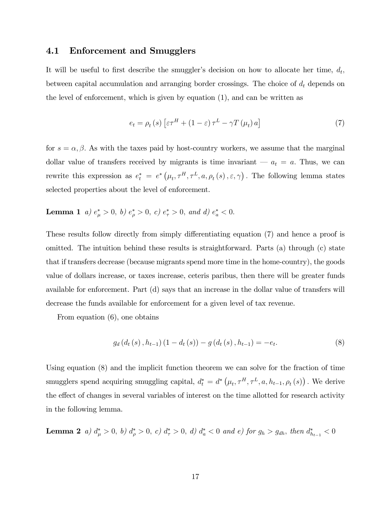### 4.1 Enforcement and Smugglers

It will be useful to first describe the smuggler's decision on how to allocate her time,  $d_t$ , between capital accumulation and arranging border crossings. The choice of  $d_t$  depends on the level of enforcement, which is given by equation (1), and can be written as

$$
e_{t} = \rho_{t}(s) \left[ \varepsilon \tau^{H} + (1 - \varepsilon) \tau^{L} - \gamma T(\mu_{t}) a \right]
$$
\n(7)

for  $s = \alpha, \beta$ . As with the taxes paid by host-country workers, we assume that the marginal dollar value of transfers received by migrants is time invariant  $-a_t = a$ . Thus, we can rewrite this expression as  $e_t^* = e^* (\mu_t, \tau^H, \tau^L, a, \rho_t(s), \varepsilon, \gamma)$ . The following lemma states selected properties about the level of enforcement.

**Lemma 1** a)  $e^*_{\mu} > 0$ , b)  $e^*_{\rho} > 0$ , c)  $e^*_{\tau} > 0$ , and d)  $e^*_{a} < 0$ .

These results follow directly from simply differentiating equation (7) and hence a proof is omitted. The intuition behind these results is straightforward. Parts (a) through (c) state that if transfers decrease (because migrants spend more time in the home-country), the goods value of dollars increase, or taxes increase, ceteris paribus, then there will be greater funds available for enforcement. Part (d) says that an increase in the dollar value of transfers will decrease the funds available for enforcement for a given level of tax revenue.

From equation (6), one obtains

$$
g_d(d_t(s), h_{t-1}) (1 - d_t(s)) - g(d_t(s), h_{t-1}) = -e_t.
$$
\n(8)

Using equation (8) and the implicit function theorem we can solve for the fraction of time smugglers spend acquiring smuggling capital,  $d_t^* = d^* (\mu_t, \tau^H, \tau^L, a, h_{t-1}, \rho_t(s))$ . We derive the effect of changes in several variables of interest on the time allotted for research activity in the following lemma.

**Lemma 2** a)  $d^*_{\mu} > 0$ , b)  $d^*_{\rho} > 0$ , c)  $d^*_{\tau} > 0$ , d)  $d^*_{a} < 0$  and e) for  $g_h > g_{dh}$ , then  $d^*_{h_{t-1}} < 0$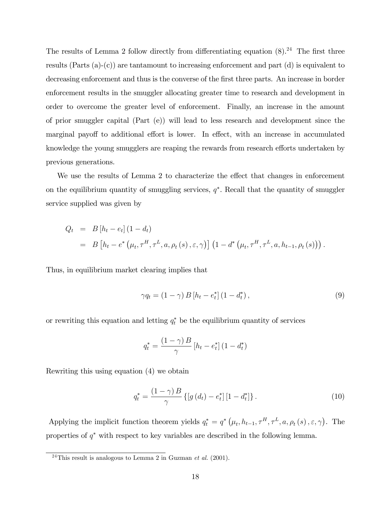The results of Lemma 2 follow directly from differentiating equation  $(8).^{24}$  The first three results (Parts (a)-(c)) are tantamount to increasing enforcement and part (d) is equivalent to decreasing enforcement and thus is the converse of the first three parts. An increase in border enforcement results in the smuggler allocating greater time to research and development in order to overcome the greater level of enforcement. Finally, an increase in the amount of prior smuggler capital (Part (e)) will lead to less research and development since the marginal payoff to additional effort is lower. In effect, with an increase in accumulated knowledge the young smugglers are reaping the rewards from research efforts undertaken by previous generations.

We use the results of Lemma 2 to characterize the effect that changes in enforcement on the equilibrium quantity of smuggling services,  $q^*$ . Recall that the quantity of smuggler service supplied was given by

$$
Q_t = B[h_t - e_t] (1 - d_t)
$$
  
=  $B[h_t - e^*(\mu_t, \tau^H, \tau^L, a, \rho_t(s), \varepsilon, \gamma)] (1 - d^*(\mu_t, \tau^H, \tau^L, a, h_{t-1}, \rho_t(s))).$ 

Thus, in equilibrium market clearing implies that

$$
\gamma q_t = (1 - \gamma) B [h_t - e_t^*] (1 - d_t^*), \qquad (9)
$$

or rewriting this equation and letting  $q_t^*$  be the equilibrium quantity of services

$$
q_t^* = \frac{(1-\gamma)B}{\gamma} \left[ h_t - e_t^* \right] (1 - d_t^*)
$$

Rewriting this using equation (4) we obtain

$$
q_t^* = \frac{(1 - \gamma) B}{\gamma} \left\{ [g(d_t) - e_t^*] [1 - d_t^*] \right\}.
$$
 (10)

Applying the implicit function theorem yields  $q_t^* = q^* (\mu_t, h_{t-1}, \tau^H, \tau^L, a, \rho_t (s), \varepsilon, \gamma)$ . The properties of  $q^*$  with respect to key variables are described in the following lemma.

<sup>&</sup>lt;sup>24</sup>This result is analogous to Lemma 2 in Guzman *et al.* (2001).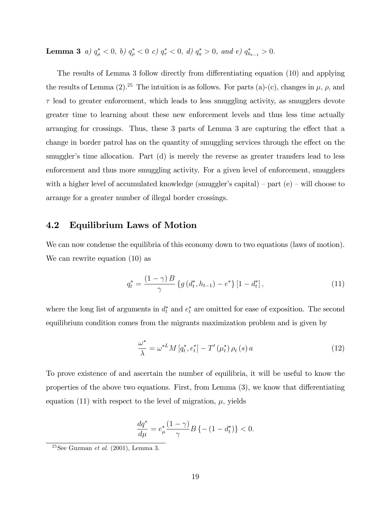**Lemma 3** a)  $q^*_{\mu} < 0$ , b)  $q^*_{\rho} < 0$  c)  $q^*_{\tau} < 0$ , d)  $q^*_{a} > 0$ , and e)  $q^*_{h_{t-1}} > 0$ .

The results of Lemma 3 follow directly from differentiating equation (10) and applying the results of Lemma (2).<sup>25</sup> The intuition is as follows. For parts (a)-(c), changes in  $\mu$ ,  $\rho$ , and  $\tau$  lead to greater enforcement, which leads to less smuggling activity, as smugglers devote greater time to learning about these new enforcement levels and thus less time actually arranging for crossings. Thus, these 3 parts of Lemma 3 are capturing the effect that a change in border patrol has on the quantity of smuggling services through the effect on the smuggler's time allocation. Part (d) is merely the reverse as greater transfers lead to less enforcement and thus more smuggling activity. For a given level of enforcement, smugglers with a higher level of accumulated knowledge (smuggler's capital) – part  $(e)$  – will choose to arrange for a greater number of illegal border crossings.

### 4.2 Equilibrium Laws of Motion

We can now condense the equilibria of this economy down to two equations (laws of motion). We can rewrite equation (10) as

$$
q_t^* = \frac{(1 - \gamma) B}{\gamma} \left\{ g \left( d_t^*, h_{t-1} \right) - e^* \right\} [1 - d_t^*], \tag{11}
$$

where the long list of arguments in  $d_t^*$  and  $e_t^*$  are omitted for ease of exposition. The second equilibrium condition comes from the migrants maximization problem and is given by

$$
\frac{\omega^*}{\lambda} = \omega^{*L} M \left[ q_t^*, e_t^* \right] - T' \left( \mu_t^* \right) \rho_t \left( s \right) a \tag{12}
$$

To prove existence of and ascertain the number of equilibria, it will be useful to know the properties of the above two equations. First, from Lemma  $(3)$ , we know that differentiating equation (11) with respect to the level of migration,  $\mu$ , yields

$$
\frac{dq^*}{d\mu} = e^*_{\mu} \frac{(1-\gamma)}{\gamma} B\left\{ - (1 - d^*_t) \right\} < 0.
$$

<sup>&</sup>lt;sup>25</sup>See Guzman *et al.* (2001), Lemma 3.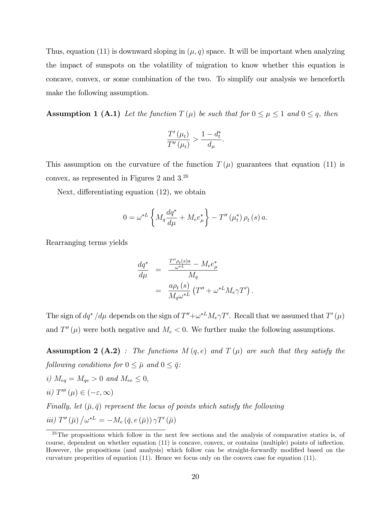Thus, equation (11) is downward sloping in  $(\mu, q)$  space. It will be important when analyzing the impact of sunspots on the volatility of migration to know whether this equation is concave, convex, or some combination of the two. To simplify our analysis we henceforth make the following assumption.

**Assumption 1 (A.1)** Let the function  $T(\mu)$  be such that for  $0 \le \mu \le 1$  and  $0 \le q$ , then

$$
\frac{T'\left(\mu_t\right)}{T''\left(\mu_t\right)} > \frac{1 - d_t^*}{d_\mu}.
$$

This assumption on the curvature of the function  $T(\mu)$  guarantees that equation (11) is convex, as represented in Figures 2 and 3.<sup>26</sup>

Next, differentiating equation  $(12)$ , we obtain

$$
0 = \omega^{*L} \left\{ M_q \frac{dq^*}{d\mu} + M_e e^*_{\mu} \right\} - T''(\mu_t^*) \rho_t(s) a.
$$

Rearranging terms yields

$$
\frac{dq^*}{d\mu} = \frac{\frac{T''\rho_t(s)a}{\omega^{*L}} - M_e e^*_{\mu}}{M_q}
$$

$$
= \frac{a\rho_t(s)}{M_q\omega^{*L}} \left(T'' + \omega^{*L} M_e \gamma T'\right).
$$

The sign of  $dq^* / d\mu$  depends on the sign of  $T'' + \omega^{*L} M_e \gamma T'$ . Recall that we assumed that  $T'(\mu)$ and  $T''(\mu)$  were both negative and  $M_e < 0$ . We further make the following assumptions.

Assumption 2 (A.2) : The functions  $M(q,e)$  and  $T(\mu)$  are such that they satisfy the following conditions for  $0 \leq \bar{\mu}$  and  $0 \leq \bar{q}$ :

i)  $M_{eq} = M_{qe} > 0$  and  $M_{ee} \leq 0$ , ii)  $T'''(\mu) \in (-\varepsilon, \infty)$ Finally, let  $(\bar{\mu}, \bar{q})$  represent the locus of points which satisfy the following iii)  $T''(\bar{\mu}) / \omega^{*L} = -M_e (\bar{q}, e(\bar{\mu})) \gamma T'(\bar{\mu})$ 

 $26$ The propositions which follow in the next few sections and the analysis of comparative statics is, of course, dependent on whether equation (11) is concave, convex, or contains (multiple) points of ináection. However, the propositions (and analysis) which follow can be straight-forwardly modified based on the curvature properities of equation (11). Hence we focus only on the convex case for equation (11).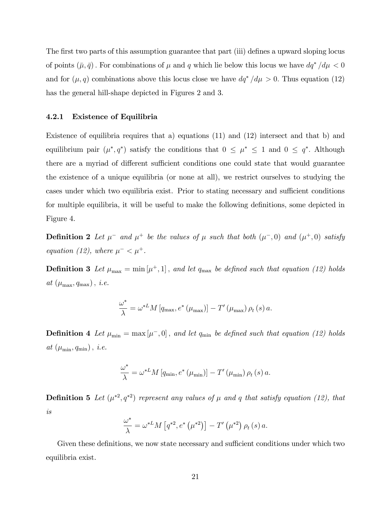The first two parts of this assumption guarantee that part (iii) defines a upward sloping locus of points  $(\bar{\mu}, \bar{q})$ . For combinations of  $\mu$  and q which lie below this locus we have  $dq^* / d\mu < 0$ and for  $(\mu, q)$  combinations above this locus close we have  $dq^*/d\mu > 0$ . Thus equation (12) has the general hill-shape depicted in Figures 2 and 3.

### 4.2.1 Existence of Equilibria

Existence of equilibria requires that a) equations (11) and (12) intersect and that b) and equilibrium pair  $(\mu^*, q^*)$  satisfy the conditions that  $0 \leq \mu^* \leq 1$  and  $0 \leq q^*$ . Although there are a myriad of different sufficient conditions one could state that would guarantee the existence of a unique equilibria (or none at all), we restrict ourselves to studying the cases under which two equilibria exist. Prior to stating necessary and sufficient conditions for multiple equilibria, it will be useful to make the following definitions, some depicted in Figure 4.

**Definition 2** Let  $\mu^-$  and  $\mu^+$  be the values of  $\mu$  such that both  $(\mu^-, 0)$  and  $(\mu^+, 0)$  satisfy equation (12), where  $\mu^- < \mu^+$ .

**Definition 3** Let  $\mu_{\text{max}} = \min \left[ \mu^+, 1 \right]$ , and let  $q_{\text{max}}$  be defined such that equation (12) holds at  $(\mu_{\text{max}}, q_{\text{max}}), i.e.$ 

$$
\frac{\omega^*}{\lambda} = \omega^{*L} M [q_{\text{max}}, e^* (\mu_{\text{max}})] - T' (\mu_{\text{max}}) \rho_t (s) a.
$$

**Definition 4** Let  $\mu_{\min} = \max[\mu^-, 0]$ , and let  $q_{\min}$  be defined such that equation (12) holds at  $(\mu_{\min}, q_{\min})$ , *i.e.* 

$$
\frac{\omega^*}{\lambda} = \omega^{*L} M \left[ q_{\min}, e^* \left( \mu_{\min} \right) \right] - T' \left( \mu_{\min} \right) \rho_t \left( s \right) a.
$$

**Definition 5** Let  $(\mu^{*2}, q^{*2})$  represent any values of  $\mu$  and q that satisfy equation (12), that is

$$
\frac{\omega^*}{\lambda} = \omega^{*L} M \left[ q^{*2}, e^* \left( \mu^{*2} \right) \right] - T' \left( \mu^{*2} \right) \rho_t \left( s \right) a.
$$

Given these definitions, we now state necessary and sufficient conditions under which two equilibria exist.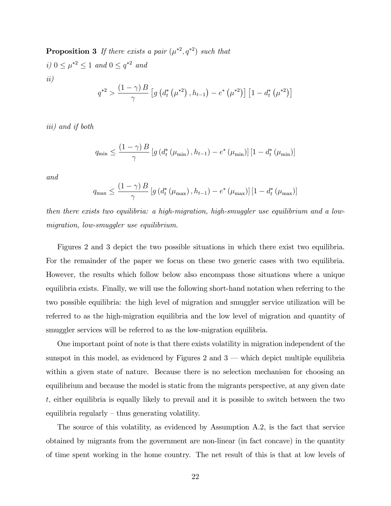**Proposition 3** If there exists a pair  $(\mu^{*2}, q^{*2})$  such that i)  $0 \leq \mu^{*2} \leq 1$  and  $0 \leq q^{*2}$  and ii)  $(1 \quad \circ)$   $\overline{D}$ \*<br>\*  $*2$ \*  $*2$ 

$$
q^{*2} > \frac{(1-\gamma) B}{\gamma} \left[ g\left(d_t^{*}\left(\mu^{*2}\right), h_{t-1}\right) - e^{*}\left(\mu^{*2}\right) \right] \left[1 - d_t^{*}\left(\mu^{*2}\right)\right]
$$

iii) and if both

$$
q_{\min} \le \frac{(1 - \gamma) B}{\gamma} \left[ g \left( d_t^* \left( \mu_{\min} \right), h_{t-1} \right) - e^* \left( \mu_{\min} \right) \right] \left[ 1 - d_t^* \left( \mu_{\min} \right) \right]
$$

and

$$
q_{\max} \leq \frac{(1-\gamma) B}{\gamma} \left[ g\left(d_t^*\left(\mu_{\max}\right), h_{t-1}\right) - e^*\left(\mu_{\max}\right) \right] \left[1 - d_t^*\left(\mu_{\max}\right) \right]
$$

then there exists two equilibria: a high-migration, high-smuggler use equilibrium and a lowmigration, low-smuggler use equilibrium.

Figures 2 and 3 depict the two possible situations in which there exist two equilibria. For the remainder of the paper we focus on these two generic cases with two equilibria. However, the results which follow below also encompass those situations where a unique equilibria exists. Finally, we will use the following short-hand notation when referring to the two possible equilibria: the high level of migration and smuggler service utilization will be referred to as the high-migration equilibria and the low level of migration and quantity of smuggler services will be referred to as the low-migration equilibria.

One important point of note is that there exists volatility in migration independent of the sunspot in this model, as evidenced by Figures 2 and  $3$  – which depict multiple equilibria within a given state of nature. Because there is no selection mechanism for choosing an equilibrium and because the model is static from the migrants perspective, at any given date t; either equilibria is equally likely to prevail and it is possible to switch between the two equilibria regularly  $-$  thus generating volatility.

The source of this volatility, as evidenced by Assumption A.2, is the fact that service obtained by migrants from the government are non-linear (in fact concave) in the quantity of time spent working in the home country. The net result of this is that at low levels of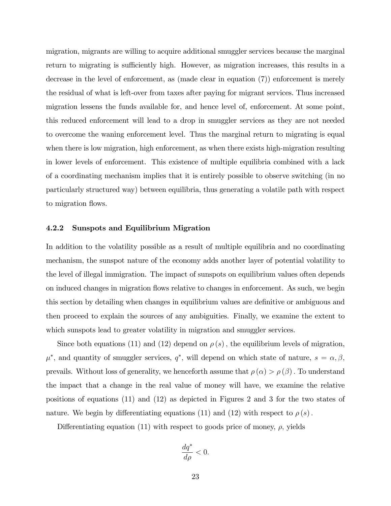migration, migrants are willing to acquire additional smuggler services because the marginal return to migrating is sufficiently high. However, as migration increases, this results in a decrease in the level of enforcement, as (made clear in equation (7)) enforcement is merely the residual of what is left-over from taxes after paying for migrant services. Thus increased migration lessens the funds available for, and hence level of, enforcement. At some point, this reduced enforcement will lead to a drop in smuggler services as they are not needed to overcome the waning enforcement level. Thus the marginal return to migrating is equal when there is low migration, high enforcement, as when there exists high-migration resulting in lower levels of enforcement. This existence of multiple equilibria combined with a lack of a coordinating mechanism implies that it is entirely possible to observe switching (in no particularly structured way) between equilibria, thus generating a volatile path with respect to migration flows.

#### 4.2.2 Sunspots and Equilibrium Migration

In addition to the volatility possible as a result of multiple equilibria and no coordinating mechanism, the sunspot nature of the economy adds another layer of potential volatility to the level of illegal immigration. The impact of sunspots on equilibrium values often depends on induced changes in migration áows relative to changes in enforcement. As such, we begin this section by detailing when changes in equilibrium values are definitive or ambiguous and then proceed to explain the sources of any ambiguities. Finally, we examine the extent to which sunspots lead to greater volatility in migration and smuggler services.

Since both equations (11) and (12) depend on  $\rho(s)$ , the equilibrium levels of migration,  $\mu^*$ , and quantity of smuggler services,  $q^*$ , will depend on which state of nature,  $s = \alpha, \beta$ , prevails. Without loss of generality, we henceforth assume that  $\rho(\alpha) > \rho(\beta)$ . To understand the impact that a change in the real value of money will have, we examine the relative positions of equations (11) and (12) as depicted in Figures 2 and 3 for the two states of nature. We begin by differentiating equations (11) and (12) with respect to  $\rho(s)$ .

Differentiating equation (11) with respect to goods price of money,  $\rho$ , yields

$$
\frac{dq^*}{d\rho} < 0.
$$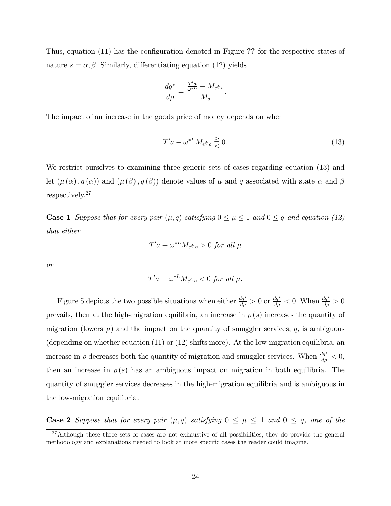Thus, equation  $(11)$  has the configuration denoted in Figure ?? for the respective states of nature  $s = \alpha, \beta$ . Similarly, differentiating equation (12) yields

$$
\frac{dq^*}{d\rho} = \frac{\frac{T'a}{\omega^{*L}} - M_e e_{\rho}}{M_q}.
$$

The impact of an increase in the goods price of money depends on when

$$
T' a - \omega^{*L} M_e e_{\rho} \geq 0. \tag{13}
$$

We restrict ourselves to examining three generic sets of cases regarding equation (13) and let  $(\mu(\alpha), q(\alpha))$  and  $(\mu(\beta), q(\beta))$  denote values of  $\mu$  and  $q$  associated with state  $\alpha$  and  $\beta$ respectively.<sup>27</sup>

**Case 1** Suppose that for every pair  $(\mu, q)$  satisfying  $0 \le \mu \le 1$  and  $0 \le q$  and equation (12) that either

$$
T'a - \omega^{*L} M_e e_{\rho} > 0 \text{ for all } \mu
$$

or

$$
T'a - \omega^{*L} M_e e_{\rho} < 0 \text{ for all } \mu.
$$

Figure 5 depicts the two possible situations when either  $\frac{dq^*}{d\rho} > 0$  or  $\frac{dq^*}{d\rho} < 0$ . When  $\frac{dq^*}{d\rho} > 0$ prevails, then at the high-migration equilibria, an increase in  $\rho(s)$  increases the quantity of migration (lowers  $\mu$ ) and the impact on the quantity of smuggler services, q, is ambiguous (depending on whether equation (11) or (12) shifts more). At the low-migration equilibria, an increase in  $\rho$  decreases both the quantity of migration and smuggler services. When  $\frac{dq^*}{d\rho} < 0$ , then an increase in  $\rho(s)$  has an ambiguous impact on migration in both equilibria. The quantity of smuggler services decreases in the high-migration equilibria and is ambiguous in the low-migration equilibria.

**Case 2** Suppose that for every pair  $(\mu, q)$  satisfying  $0 \leq \mu \leq 1$  and  $0 \leq q$ , one of the

 $^{27}$ Although these three sets of cases are not exhaustive of all possibilities, they do provide the general methodology and explanations needed to look at more specific cases the reader could imagine.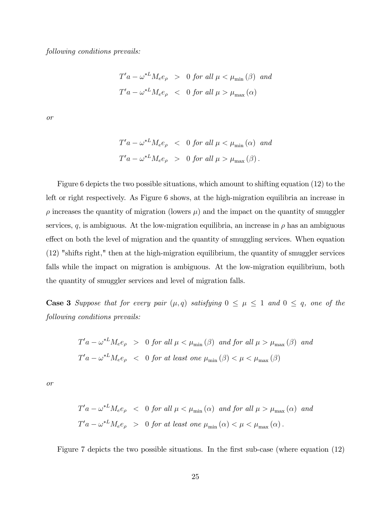following conditions prevails:

$$
T'a - \omega^{*L} M_e e_{\rho} > 0 \text{ for all } \mu < \mu_{\min}(\beta) \text{ and}
$$
  

$$
T'a - \omega^{*L} M_e e_{\rho} < 0 \text{ for all } \mu > \mu_{\max}(\alpha)
$$

or

$$
T'a - \omega^{*L} M_e e_{\rho} < 0 \text{ for all } \mu < \mu_{\min}(\alpha) \text{ and}
$$
  

$$
T'a - \omega^{*L} M_e e_{\rho} > 0 \text{ for all } \mu > \mu_{\max}(\beta).
$$

Figure 6 depicts the two possible situations, which amount to shifting equation (12) to the left or right respectively. As Figure 6 shows, at the high-migration equilibria an increase in  $\rho$  increases the quantity of migration (lowers  $\mu$ ) and the impact on the quantity of smuggler services, q, is ambiguous. At the low-migration equilibria, an increase in  $\rho$  has an ambiguous effect on both the level of migration and the quantity of smuggling services. When equation (12) "shifts right," then at the high-migration equilibrium, the quantity of smuggler services falls while the impact on migration is ambiguous. At the low-migration equilibrium, both the quantity of smuggler services and level of migration falls.

**Case 3** Suppose that for every pair  $(\mu, q)$  satisfying  $0 \leq \mu \leq 1$  and  $0 \leq q$ , one of the following conditions prevails:

$$
T'a - \omega^{*L} M_e e_{\rho} > 0 \text{ for all } \mu < \mu_{\min}(\beta) \text{ and for all } \mu > \mu_{\max}(\beta) \text{ and}
$$
  

$$
T'a - \omega^{*L} M_e e_{\rho} < 0 \text{ for at least one } \mu_{\min}(\beta) < \mu < \mu_{\max}(\beta)
$$

or

$$
T'a - \omega^{*L} M_e e_{\rho} < 0 \text{ for all } \mu < \mu_{\min}(\alpha) \text{ and for all } \mu > \mu_{\max}(\alpha) \text{ and}
$$
\n
$$
T'a - \omega^{*L} M_e e_{\rho} > 0 \text{ for at least one } \mu_{\min}(\alpha) < \mu < \mu_{\max}(\alpha).
$$

Figure 7 depicts the two possible situations. In the first sub-case (where equation (12)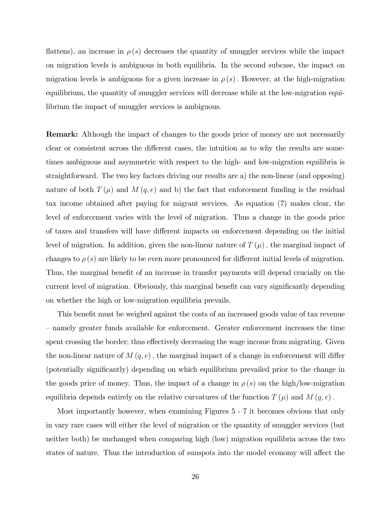flattens), an increase in  $\rho(s)$  decreases the quantity of smuggler services while the impact on migration levels is ambiguous in both equilibria. In the second subcase, the impact on migration levels is ambiguous for a given increase in  $\rho(s)$ . However, at the high-migration equilibrium, the quantity of smuggler services will decrease while at the low-migration equilibrium the impact of smuggler services is ambiguous.

Remark: Although the impact of changes to the goods price of money are not necessarily clear or consistent across the different cases, the intuition as to why the results are sometimes ambiguous and asymmetric with respect to the high- and low-migration equilibria is straightforward. The two key factors driving our results are a) the non-linear (and opposing) nature of both  $T(\mu)$  and  $M(q, e)$  and b) the fact that enforcement funding is the residual tax income obtained after paying for migrant services. As equation (7) makes clear, the level of enforcement varies with the level of migration. Thus a change in the goods price of taxes and transfers will have different impacts on enforcement depending on the initial level of migration. In addition, given the non-linear nature of  $T(\mu)$ , the marginal impact of changes to  $\rho(s)$  are likely to be even more pronounced for different initial levels of migration. Thus, the marginal benefit of an increase in transfer payments will depend crucially on the current level of migration. Obviously, this marginal benefit can vary significantly depending on whether the high or low-migration equilibria prevails.

This benefit must be weighed against the costs of an increased goods value of tax revenue – namely greater funds available for enforcement. Greater enforcement increases the time spent crossing the border; thus effectively decreasing the wage income from migrating. Given the non-linear nature of  $M(q, e)$ , the marginal impact of a change in enforcement will differ (potentially significantly) depending on which equilibrium prevailed prior to the change in the goods price of money. Thus, the impact of a change in  $\rho(s)$  on the high/low-migration equilibria depends entirely on the relative curvatures of the function  $T(\mu)$  and  $M(q, e)$ .

Most importantly however, when examining Figures 5 - 7 it becomes obvious that only in vary rare cases will either the level of migration or the quantity of smuggler services (but neither both) be unchanged when comparing high (low) migration equilibria across the two states of nature. Thus the introduction of sunspots into the model economy will affect the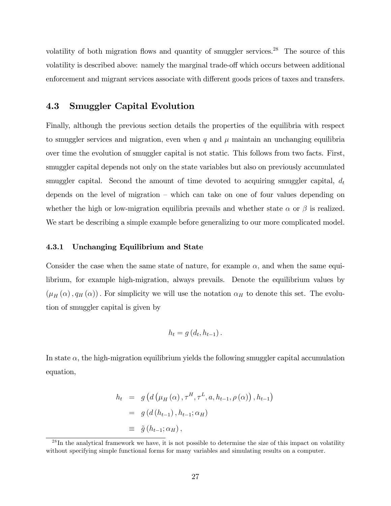volatility of both migration flows and quantity of smuggler services.<sup>28</sup> The source of this volatility is described above: namely the marginal trade-off which occurs between additional enforcement and migrant services associate with different goods prices of taxes and transfers.

### 4.3 Smuggler Capital Evolution

Finally, although the previous section details the properties of the equilibria with respect to smuggler services and migration, even when q and  $\mu$  maintain an unchanging equilibria over time the evolution of smuggler capital is not static. This follows from two facts. First, smuggler capital depends not only on the state variables but also on previously accumulated smuggler capital. Second the amount of time devoted to acquiring smuggler capital,  $d_t$ depends on the level of migration  $-$  which can take on one of four values depending on whether the high or low-migration equilibria prevails and whether state  $\alpha$  or  $\beta$  is realized. We start be describing a simple example before generalizing to our more complicated model.

### 4.3.1 Unchanging Equilibrium and State

Consider the case when the same state of nature, for example  $\alpha$ , and when the same equilibrium, for example high-migration, always prevails. Denote the equilibrium values by  $(\mu_H(\alpha), q_H(\alpha))$ . For simplicity we will use the notation  $\alpha_H$  to denote this set. The evolution of smuggler capital is given by

$$
h_t = g(d_t, h_{t-1}).
$$

In state  $\alpha$ , the high-migration equilibrium yields the following smuggler capital accumulation equation,

$$
h_t = g\left(d\left(\mu_H(\alpha), \tau^H, \tau^L, a, h_{t-1}, \rho(\alpha)\right), h_{t-1}\right)
$$
  
=  $g\left(d\left(h_{t-1}\right), h_{t-1}; \alpha_H\right)$   

$$
\equiv \tilde{g}\left(h_{t-1}; \alpha_H\right),
$$

 $^{28}$ In the analytical framework we have, it is not possible to determine the size of this impact on volatility without specifying simple functional forms for many variables and simulating results on a computer.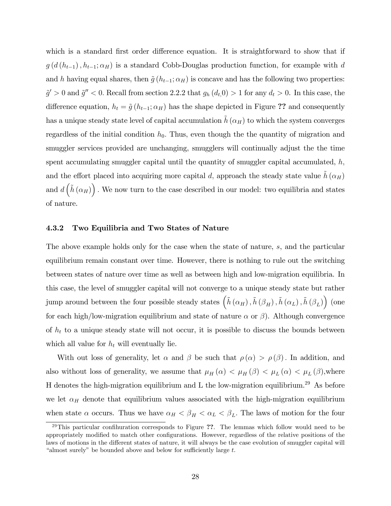which is a standard first order difference equation. It is straightforward to show that if  $g(d(h_{t-1}), h_{t-1}; \alpha_H)$  is a standard Cobb-Douglas production function, for example with d and h having equal shares, then  $\tilde{g} (h_{t-1}; \alpha_H)$  is concave and has the following two properties:  $\tilde{g}'>0$  and  $\tilde{g}''<0$ . Recall from section 2.2.2 that  $g_h(d_t,0)>1$  for any  $d_t>0$ . In this case, the difference equation,  $h_t = \tilde{g}(h_{t-1}; \alpha_H)$  has the shape depicted in Figure ?? and consequently has a unique steady state level of capital accumulation  $\tilde{h}(\alpha_H)$  to which the system converges regardless of the initial condition  $h_0$ . Thus, even though the the quantity of migration and smuggler services provided are unchanging, smugglers will continually adjust the the time spent accumulating smuggler capital until the quantity of smuggler capital accumulated,  $h$ , and the effort placed into acquiring more capital d, approach the steady state value  $h(\alpha_H)$ and  $d\left(\tilde{h}\left(\alpha_H\right)\right)$ . We now turn to the case described in our model: two equilibria and states of nature.

### 4.3.2 Two Equilibria and Two States of Nature

The above example holds only for the case when the state of nature, s, and the particular equilibrium remain constant over time. However, there is nothing to rule out the switching between states of nature over time as well as between high and low-migration equilibria. In this case, the level of smuggler capital will not converge to a unique steady state but rather jump around between the four possible steady states  $\left(\tilde{h}\left(\alpha_H\right), \tilde{h}\left(\beta_H\right), \tilde{h}\left(\alpha_L\right), \tilde{h}\left(\beta_L\right)\right)$  (one for each high/low-migration equilibrium and state of nature  $\alpha$  or  $\beta$ ). Although convergence of  $h_t$  to a unique steady state will not occur, it is possible to discuss the bounds between which all value for  $h_t$  will eventually lie.

With out loss of generality, let  $\alpha$  and  $\beta$  be such that  $\rho(\alpha) > \rho(\beta)$ . In addition, and also without loss of generality, we assume that  $\mu_H(\alpha) < \mu_H(\beta) < \mu_L(\alpha) < \mu_L(\beta)$ , where H denotes the high-migration equilibrium and L the low-migration equilibrium.<sup>29</sup> As before we let  $\alpha_H$  denote that equilibrium values associated with the high-migration equilibrium when state  $\alpha$  occurs. Thus we have  $\alpha_H < \beta_H < \alpha_L < \beta_L$ . The laws of motion for the four

 $29$ This particular confiburation corresponds to Figure ??. The lemmas which follow would need to be appropriately modified to match other configurations. However, regardless of the relative positions of the laws of motions in the different states of nature, it will always be the case evolution of smuggler capital will "almost surely" be bounded above and below for sufficiently large  $t$ .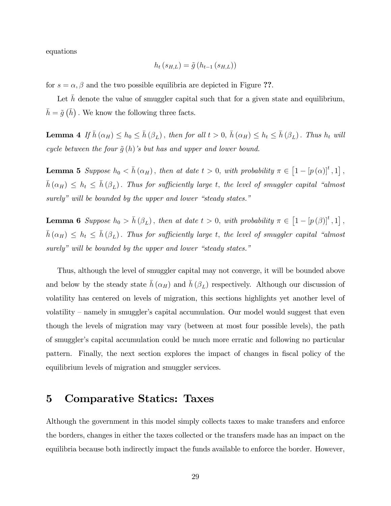equations

$$
h_t(s_{H,L}) = \tilde{g}\left(h_{t-1}(s_{H,L})\right)
$$

for  $s = \alpha, \beta$  and the two possible equilibria are depicted in Figure ??.

Let h denote the value of smuggler capital such that for a given state and equilibrium,  $\bar{h} = \tilde{g}(\bar{h})$ . We know the following three facts.

**Lemma 4** If  $\bar{h}(\alpha_H) \leq h_0 \leq \bar{h}(\beta_L)$ , then for all  $t > 0$ ,  $\bar{h}(\alpha_H) \leq h_t \leq \bar{h}(\beta_L)$ . Thus  $h_t$  will cycle between the four  $\tilde{g} (h)$ 's but has and upper and lower bound.

**Lemma 5** Suppose  $h_0 < \bar{h}(\alpha_H)$ , then at date  $t > 0$ , with probability  $\pi \in [1 - [p(\alpha)]^t, 1]$ ,  $\bar{h}(\alpha_H) \leq h_t \leq \bar{h}(\beta_L)$ . Thus for sufficiently large t, the level of smuggler capital "almost surely" will be bounded by the upper and lower "steady states."

**Lemma 6** Suppose  $h_0 > \bar{h}(\beta_L)$ , then at date  $t > 0$ , with probability  $\pi \in [1 - [p(\beta)]^t, 1]$ ,  $\bar{h}(\alpha_H) \leq h_t \leq \bar{h}(\beta_L)$ . Thus for sufficiently large t, the level of smuggler capital "almost  $surely"$  will be bounded by the upper and lower "steady states."

Thus, although the level of smuggler capital may not converge, it will be bounded above and below by the steady state  $\bar{h}(\alpha_H)$  and  $\bar{h}(\beta_L)$  respectively. Although our discussion of volatility has centered on levels of migration, this sections highlights yet another level of volatility  $-$  namely in smuggler's capital accumulation. Our model would suggest that even though the levels of migration may vary (between at most four possible levels), the path of smuggler's capital accumulation could be much more erratic and following no particular pattern. Finally, the next section explores the impact of changes in fiscal policy of the equilibrium levels of migration and smuggler services.

# 5 Comparative Statics: Taxes

Although the government in this model simply collects taxes to make transfers and enforce the borders, changes in either the taxes collected or the transfers made has an impact on the equilibria because both indirectly impact the funds available to enforce the border. However,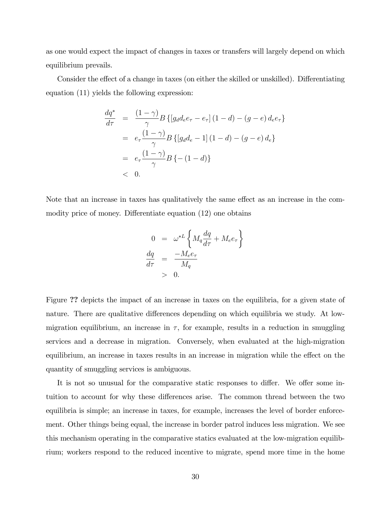as one would expect the impact of changes in taxes or transfers will largely depend on which equilibrium prevails.

Consider the effect of a change in taxes (on either the skilled or unskilled). Differentiating equation (11) yields the following expression:

$$
\frac{dq^*}{d\tau} = \frac{(1-\gamma)}{\gamma} B \{ [g_d d_e e_\tau - e_\tau] (1-d) - (g-e) d_e e_\tau \}
$$
  
\n
$$
= e_\tau \frac{(1-\gamma)}{\gamma} B \{ [g_d d_e - 1] (1-d) - (g-e) d_e \}
$$
  
\n
$$
= e_\tau \frac{(1-\gamma)}{\gamma} B \{ -(1-d) \}
$$
  
\n
$$
< 0.
$$

Note that an increase in taxes has qualitatively the same effect as an increase in the commodity price of money. Differentiate equation (12) one obtains

$$
0 = \omega^{*L} \left\{ M_q \frac{dq}{d\tau} + M_e e_{\tau} \right\}
$$
  

$$
\frac{dq}{d\tau} = \frac{-M_e e_{\tau}}{M_q}
$$
  

$$
> 0.
$$

Figure ?? depicts the impact of an increase in taxes on the equilibria, for a given state of nature. There are qualitative differences depending on which equilibria we study. At lowmigration equilibrium, an increase in  $\tau$ , for example, results in a reduction in smuggling services and a decrease in migration. Conversely, when evaluated at the high-migration equilibrium, an increase in taxes results in an increase in migration while the effect on the quantity of smuggling services is ambiguous.

It is not so unusual for the comparative static responses to differ. We offer some intuition to account for why these differences arise. The common thread between the two equilibria is simple; an increase in taxes, for example, increases the level of border enforcement. Other things being equal, the increase in border patrol induces less migration. We see this mechanism operating in the comparative statics evaluated at the low-migration equilibrium; workers respond to the reduced incentive to migrate, spend more time in the home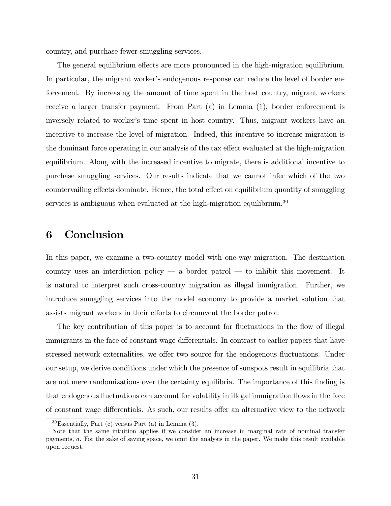country, and purchase fewer smuggling services.

The general equilibrium effects are more pronounced in the high-migration equilibrium. In particular, the migrant worker's endogenous response can reduce the level of border enforcement. By increasing the amount of time spent in the host country, migrant workers receive a larger transfer payment. From Part (a) in Lemma (1), border enforcement is inversely related to worker's time spent in host country. Thus, migrant workers have an incentive to increase the level of migration. Indeed, this incentive to increase migration is the dominant force operating in our analysis of the tax effect evaluated at the high-migration equilibrium. Along with the increased incentive to migrate, there is additional incentive to purchase smuggling services. Our results indicate that we cannot infer which of the two countervailing effects dominate. Hence, the total effect on equilibrium quantity of smuggling services is ambiguous when evaluated at the high-migration equilibrium.<sup>30</sup>

# 6 Conclusion

In this paper, we examine a two-country model with one-way migration. The destination country uses an interdiction policy  $\sim$  a border patrol  $\sim$  to inhibit this movement. It is natural to interpret such cross-country migration as illegal immigration. Further, we introduce smuggling services into the model economy to provide a market solution that assists migrant workers in their efforts to circumvent the border patrol.

The key contribution of this paper is to account for fluctuations in the flow of illegal immigrants in the face of constant wage differentials. In contrast to earlier papers that have stressed network externalities, we offer two source for the endogenous fluctuations. Under our setup, we derive conditions under which the presence of sunspots result in equilibria that are not mere randomizations over the certainty equilibria. The importance of this finding is that endogenous fluctuations can account for volatility in illegal immigration flows in the face of constant wage differentials. As such, our results offer an alternative view to the network

 $30$ Essentially, Part (c) versus Part (a) in Lemma (3).

Note that the same intuition applies if we consider an increase in marginal rate of nominal transfer payments, a. For the sake of saving space, we omit the analysis in the paper. We make this result available upon request.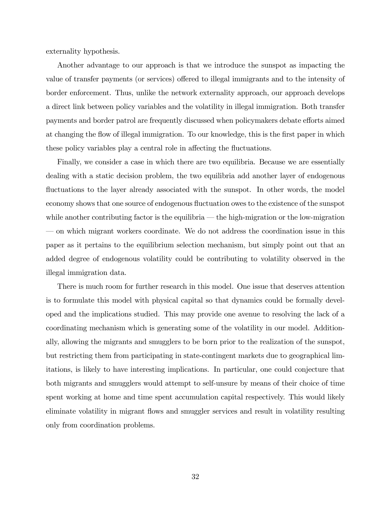externality hypothesis.

Another advantage to our approach is that we introduce the sunspot as impacting the value of transfer payments (or services) offered to illegal immigrants and to the intensity of border enforcement. Thus, unlike the network externality approach, our approach develops a direct link between policy variables and the volatility in illegal immigration. Both transfer payments and border patrol are frequently discussed when policymakers debate efforts aimed at changing the flow of illegal immigration. To our knowledge, this is the first paper in which these policy variables play a central role in affecting the fluctuations.

Finally, we consider a case in which there are two equilibria. Because we are essentially dealing with a static decision problem, the two equilibria add another layer of endogenous fluctuations to the layer already associated with the sunspot. In other words, the model economy shows that one source of endogenous áuctuation owes to the existence of the sunspot while another contributing factor is the equilibria  $-$  the high-migration or the low-migration ó on which migrant workers coordinate. We do not address the coordination issue in this paper as it pertains to the equilibrium selection mechanism, but simply point out that an added degree of endogenous volatility could be contributing to volatility observed in the illegal immigration data.

There is much room for further research in this model. One issue that deserves attention is to formulate this model with physical capital so that dynamics could be formally developed and the implications studied. This may provide one avenue to resolving the lack of a coordinating mechanism which is generating some of the volatility in our model. Additionally, allowing the migrants and smugglers to be born prior to the realization of the sunspot, but restricting them from participating in state-contingent markets due to geographical limitations, is likely to have interesting implications. In particular, one could conjecture that both migrants and smugglers would attempt to self-unsure by means of their choice of time spent working at home and time spent accumulation capital respectively. This would likely eliminate volatility in migrant áows and smuggler services and result in volatility resulting only from coordination problems.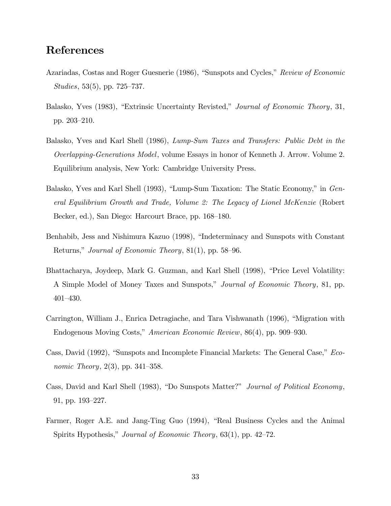# References

- Azariadas, Costas and Roger Guesnerie (1986), "Sunspots and Cycles," Review of Economic Studies, 53(5), pp. 725–737.
- Balasko, Yves (1983), "Extrinsic Uncertainty Revisted," Journal of Economic Theory, 31, pp. 203–210.
- Balasko, Yves and Karl Shell (1986), Lump-Sum Taxes and Transfers: Public Debt in the Overlapping-Generations Model, volume Essays in honor of Kenneth J. Arrow. Volume 2. Equilibrium analysis, New York: Cambridge University Press.
- Balasko, Yves and Karl Shell (1993), "Lump-Sum Taxation: The Static Economy," in General Equilibrium Growth and Trade, Volume 2: The Legacy of Lionel McKenzie (Robert Becker, ed.), San Diego: Harcourt Brace, pp. 168–180.
- Benhabib, Jess and Nishimura Kazuo (1998), "Indeterminacy and Sunspots with Constant Returns," Journal of Economic Theory,  $81(1)$ , pp. 58–96.
- Bhattacharya, Joydeep, Mark G. Guzman, and Karl Shell (1998), "Price Level Volatility: A Simple Model of Money Taxes and Sunspots," Journal of Economic Theory, 81, pp.  $401 - 430.$
- Carrington, William J., Enrica Detragiache, and Tara Vishwanath (1996), "Migration with Endogenous Moving Costs," American Economic Review, 86(4), pp. 909–930.
- Cass, David (1992), "Sunspots and Incomplete Financial Markets: The General Case," Economic Theory,  $2(3)$ , pp.  $341-358$ .
- Cass, David and Karl Shell (1983), "Do Sunspots Matter?" Journal of Political Economy, 91, pp.  $193-227$ .
- Farmer, Roger A.E. and Jang-Ting Guo (1994), "Real Business Cycles and the Animal Spirits Hypothesis," Journal of Economic Theory,  $63(1)$ , pp. 42–72.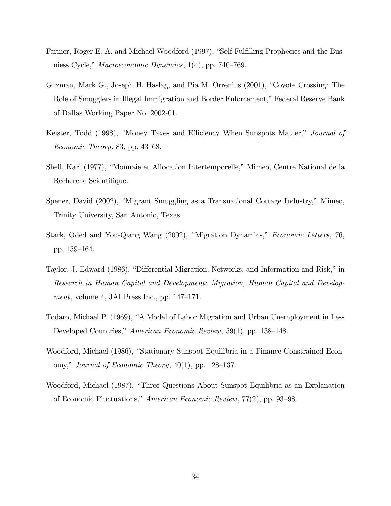- Farmer, Roger E. A. and Michael Woodford (1997), "Self-Fulfilling Prophecies and the Busniess Cycle," Macroeconomic Dynamics, 1(4), pp. 740–769.
- Guzman, Mark G., Joseph H. Haslag, and Pia M. Orrenius (2001), "Coyote Crossing: The Role of Smugglers in Illegal Immigration and Border Enforcement," Federal Reserve Bank of Dallas Working Paper No. 2002-01.
- Keister, Todd (1998), "Money Taxes and Efficiency When Sunspots Matter," Journal of Economic Theory, 83, pp.  $43-68$ .
- Shell, Karl (1977), "Monnaie et Allocation Intertemporelle," Mimeo, Centre National de la Recherche Scientifique.
- Spener, David (2002), "Migrant Smuggling as a Transuational Cottage Industry," Mimeo, Trinity University, San Antonio, Texas.
- Stark, Oded and You-Qiang Wang (2002), "Migration Dynamics," Economic Letters, 76, pp. 159–164.
- Taylor, J. Edward (1986), "Differential Migration, Networks, and Information and Risk," in Research in Human Capital and Development: Migration, Human Capital and Development, volume 4, JAI Press Inc., pp.  $147-171$ .
- Todaro, Michael P. (1969), "A Model of Labor Migration and Urban Unemployment in Less Developed Countries," American Economic Review, 59(1), pp. 138–148.
- Woodford, Michael (1986), "Stationary Sunspot Equilibria in a Finance Constrained Economy," Journal of Economic Theory,  $40(1)$ , pp. 128–137.
- Woodford, Michael (1987), "Three Questions About Sunspot Equilibria as an Explanation of Economic Fluctuations," American Economic Review, 77(2), pp. 93–98.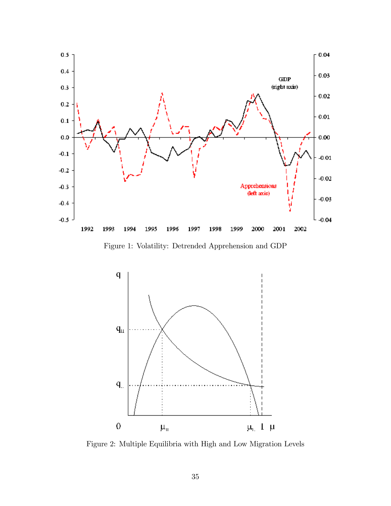

Figure 1: Volatility: Detrended Apprehension and GDP



Figure 2: Multiple Equilibria with High and Low Migration Levels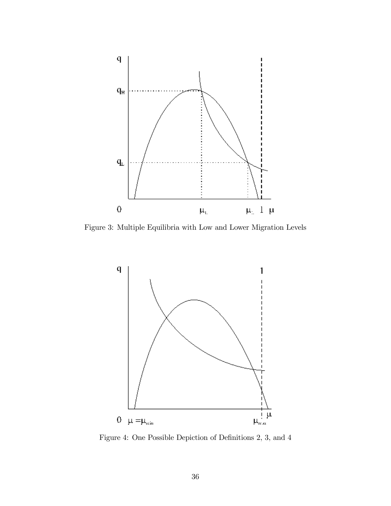

Figure 3: Multiple Equilibria with Low and Lower Migration Levels



Figure 4: One Possible Depiction of Definitions 2, 3, and 4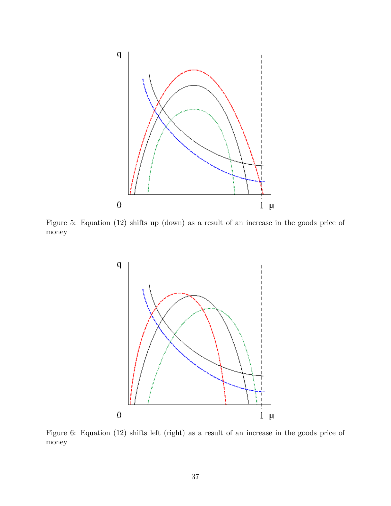

Figure 5: Equation (12) shifts up (down) as a result of an increase in the goods price of money



Figure 6: Equation (12) shifts left (right) as a result of an increase in the goods price of money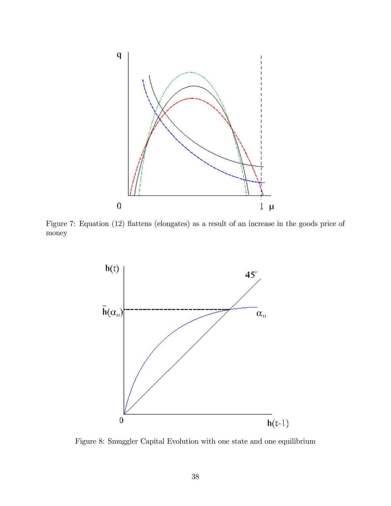

Figure 7: Equation (12) flattens (elongates) as a result of an increase in the goods price of money



Figure 8: Smuggler Capital Evolution with one state and one equilibrium